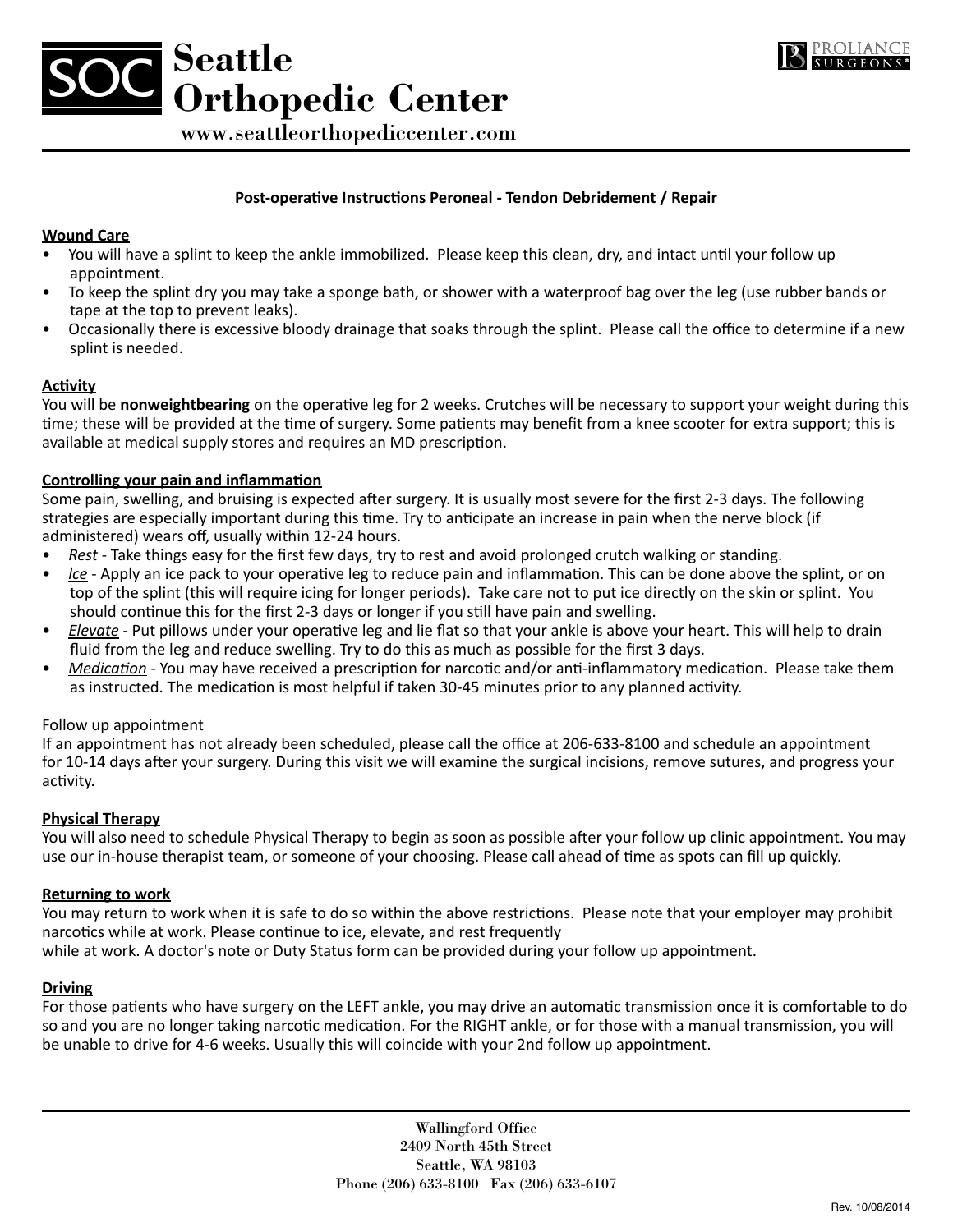



www.seattleorthopediccenter.com

## **Post-operative Instructions Peroneal - Tendon Debridement / Repair**

### **Wound Care**

- You will have a splint to keep the ankle immobilized. Please keep this clean, dry, and intact until your follow up appointment.
- To keep the splint dry you may take a sponge bath, or shower with a waterproof bag over the leg (use rubber bands or tape at the top to prevent leaks).
- • Occasionally there is excessive bloody drainage that soaks through the splint. Please call the office to determine if a new splint is needed.

### **Activity**

You will be **nonweightbearing** on the operative leg for 2 weeks. Crutches will be necessary to support your weight during this time; these will be provided at the time of surgery. Some patients may benefit from a knee scooter for extra support; this is available at medical supply stores and requires an MD prescription.

### **Controlling your pain and inflammation**

Some pain, swelling, and bruising is expected after surgery. It is usually most severe for the first 2-3 days. The following strategies are especially important during this time. Try to anticipate an increase in pain when the nerve block (if administered) wears off, usually within 12-24 hours.

- *Rest* Take things easy for the first few days, try to rest and avoid prolonged crutch walking or standing.
- *lce* Apply an ice pack to your operative leg to reduce pain and inflammation. This can be done above the splint, or on top of the splint (this will require icing for longer periods). Take care not to put ice directly on the skin or splint. You should continue this for the first 2-3 days or longer if you still have pain and swelling.
- *Elevate* Put pillows under your operative leg and lie flat so that your ankle is above your heart. This will help to drain fluid from the leg and reduce swelling. Try to do this as much as possible for the first 3 days.
- *Medication* You may have received a prescription for narcotic and/or anti-inflammatory medication. Please take them as instructed. The medication is most helpful if taken 30-45 minutes prior to any planned activity.

#### Follow up appointment

If an appointment has not already been scheduled, please call the office at 206-633-8100 and schedule an appointment for 10-14 days after your surgery. During this visit we will examine the surgical incisions, remove sutures, and progress your activity.

## **Physical Therapy**

You will also need to schedule Physical Therapy to begin as soon as possible after your follow up clinic appointment. You may use our in-house therapist team, or someone of your choosing. Please call ahead of time as spots can fill up quickly.

#### **Returning to work**

You may return to work when it is safe to do so within the above restrictions. Please note that your employer may prohibit narcotics while at work. Please continue to ice, elevate, and rest frequently

while at work. A doctor's note or Duty Status form can be provided during your follow up appointment.

#### **Driving**

For those patients who have surgery on the LEFT ankle, you may drive an automatic transmission once it is comfortable to do so and you are no longer taking narcotic medication. For the RIGHT ankle, or for those with a manual transmission, you will be unable to drive for 4-6 weeks. Usually this will coincide with your 2nd follow up appointment.